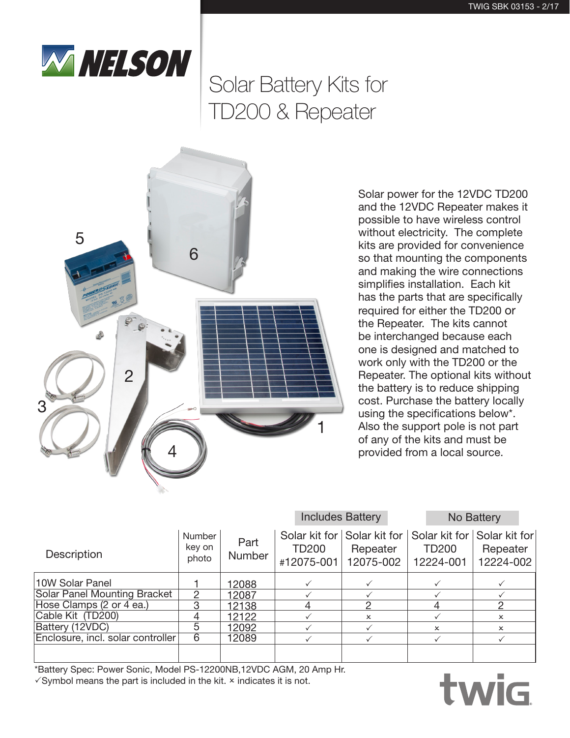

# Solar Battery Kits for TD200 & Repeater



Solar power for the 12VDC TD200 and the 12VDC Repeater makes it possible to have wireless control without electricity. The complete kits are provided for convenience so that mounting the components and making the wire connections simplifies installation. Each kit has the parts that are specifically required for either the TD200 or the Repeater. The kits cannot be interchanged because each one is designed and matched to work only with the TD200 or the Repeater. The optional kits without the battery is to reduce shipping cost. Purchase the battery locally using the specifications below\*. Also the support pole is not part of any of the kits and must be provided from a local source.

|                                     |                           |                       | <b>Includes Battery</b> |                                                                                  |                           | No Battery                |
|-------------------------------------|---------------------------|-----------------------|-------------------------|----------------------------------------------------------------------------------|---------------------------|---------------------------|
| Description                         | Number<br>key on<br>photo | Part<br><b>Number</b> | TD200<br>#12075-001     | Solar kit for Solar kit for Solar kit for Solar kit for<br>Repeater<br>12075-002 | <b>TD200</b><br>12224-001 | Repeater<br>12224-002     |
| 10W Solar Panel                     |                           | 12088                 |                         |                                                                                  |                           |                           |
| <b>Solar Panel Mounting Bracket</b> | $\mathfrak{D}$            | 12087                 |                         |                                                                                  |                           |                           |
| Hose Clamps (2 or 4 ea.)            | 3                         | 12138                 |                         |                                                                                  |                           |                           |
| Cable Kit (TD200)                   |                           | 12122                 |                         | $\mathsf{x}$                                                                     |                           | $\boldsymbol{\mathsf{x}}$ |
| Battery (12VDC)                     | 5                         | 12092                 |                         |                                                                                  | $\mathbf{x}$              | $\boldsymbol{\mathsf{x}}$ |
| Enclosure, incl. solar controller   | 6                         | 12089                 |                         |                                                                                  |                           |                           |
|                                     |                           |                       |                         |                                                                                  |                           |                           |

\*Battery Spec: Power Sonic, Model PS-12200NB,12VDC AGM, 20 Amp Hr.  $\sqrt{S}$ ymbol means the part is included in the kit.  $\times$  indicates it is not.

## twig ®